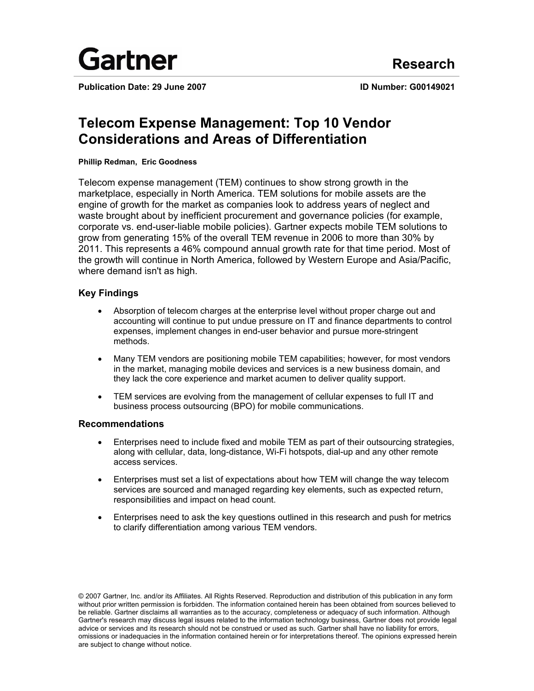

**Publication Date: 29 June 2007 ID Number: G00149021**

# **Telecom Expense Management: Top 10 Vendor Considerations and Areas of Differentiation**

### **Phillip Redman, Eric Goodness**

Telecom expense management (TEM) continues to show strong growth in the marketplace, especially in North America. TEM solutions for mobile assets are the engine of growth for the market as companies look to address years of neglect and waste brought about by inefficient procurement and governance policies (for example, corporate vs. end-user-liable mobile policies). Gartner expects mobile TEM solutions to grow from generating 15% of the overall TEM revenue in 2006 to more than 30% by 2011. This represents a 46% compound annual growth rate for that time period. Most of the growth will continue in North America, followed by Western Europe and Asia/Pacific, where demand isn't as high.

### **Key Findings**

- Absorption of telecom charges at the enterprise level without proper charge out and accounting will continue to put undue pressure on IT and finance departments to control expenses, implement changes in end-user behavior and pursue more-stringent methods.
- Many TEM vendors are positioning mobile TEM capabilities; however, for most vendors in the market, managing mobile devices and services is a new business domain, and they lack the core experience and market acumen to deliver quality support.
- TEM services are evolving from the management of cellular expenses to full IT and business process outsourcing (BPO) for mobile communications.

### **Recommendations**

- Enterprises need to include fixed and mobile TEM as part of their outsourcing strategies, along with cellular, data, long-distance, Wi-Fi hotspots, dial-up and any other remote access services.
- Enterprises must set a list of expectations about how TEM will change the way telecom services are sourced and managed regarding key elements, such as expected return, responsibilities and impact on head count.
- Enterprises need to ask the key questions outlined in this research and push for metrics to clarify differentiation among various TEM vendors.

© 2007 Gartner, Inc. and/or its Affiliates. All Rights Reserved. Reproduction and distribution of this publication in any form without prior written permission is forbidden. The information contained herein has been obtained from sources believed to be reliable. Gartner disclaims all warranties as to the accuracy, completeness or adequacy of such information. Although Gartner's research may discuss legal issues related to the information technology business, Gartner does not provide legal advice or services and its research should not be construed or used as such. Gartner shall have no liability for errors, omissions or inadequacies in the information contained herein or for interpretations thereof. The opinions expressed herein are subject to change without notice.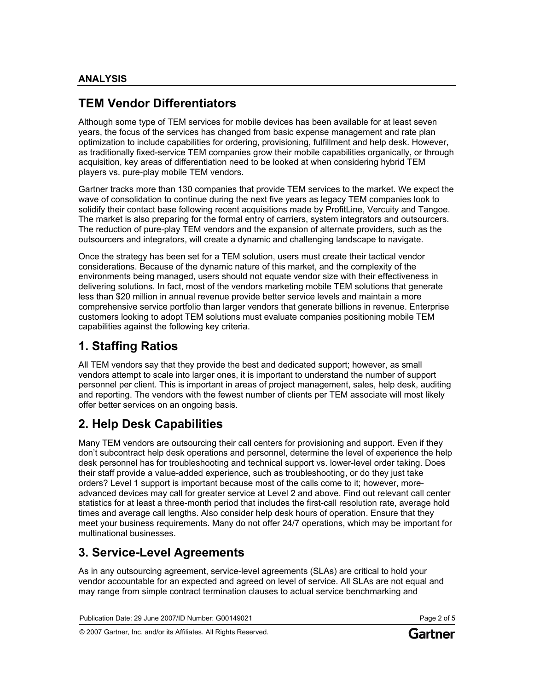## **TEM Vendor Differentiators**

Although some type of TEM services for mobile devices has been available for at least seven years, the focus of the services has changed from basic expense management and rate plan optimization to include capabilities for ordering, provisioning, fulfillment and help desk. However, as traditionally fixed-service TEM companies grow their mobile capabilities organically, or through acquisition, key areas of differentiation need to be looked at when considering hybrid TEM players vs. pure-play mobile TEM vendors.

Gartner tracks more than 130 companies that provide TEM services to the market. We expect the wave of consolidation to continue during the next five years as legacy TEM companies look to solidify their contact base following recent acquisitions made by ProfitLine, Vercuity and Tangoe. The market is also preparing for the formal entry of carriers, system integrators and outsourcers. The reduction of pure-play TEM vendors and the expansion of alternate providers, such as the outsourcers and integrators, will create a dynamic and challenging landscape to navigate.

Once the strategy has been set for a TEM solution, users must create their tactical vendor considerations. Because of the dynamic nature of this market, and the complexity of the environments being managed, users should not equate vendor size with their effectiveness in delivering solutions. In fact, most of the vendors marketing mobile TEM solutions that generate less than \$20 million in annual revenue provide better service levels and maintain a more comprehensive service portfolio than larger vendors that generate billions in revenue. Enterprise customers looking to adopt TEM solutions must evaluate companies positioning mobile TEM capabilities against the following key criteria.

## **1. Staffing Ratios**

All TEM vendors say that they provide the best and dedicated support; however, as small vendors attempt to scale into larger ones, it is important to understand the number of support personnel per client. This is important in areas of project management, sales, help desk, auditing and reporting. The vendors with the fewest number of clients per TEM associate will most likely offer better services on an ongoing basis.

## **2. Help Desk Capabilities**

Many TEM vendors are outsourcing their call centers for provisioning and support. Even if they don't subcontract help desk operations and personnel, determine the level of experience the help desk personnel has for troubleshooting and technical support vs. lower-level order taking. Does their staff provide a value-added experience, such as troubleshooting, or do they just take orders? Level 1 support is important because most of the calls come to it; however, moreadvanced devices may call for greater service at Level 2 and above. Find out relevant call center statistics for at least a three-month period that includes the first-call resolution rate, average hold times and average call lengths. Also consider help desk hours of operation. Ensure that they meet your business requirements. Many do not offer 24/7 operations, which may be important for multinational businesses.

## **3. Service-Level Agreements**

As in any outsourcing agreement, service-level agreements (SLAs) are critical to hold your vendor accountable for an expected and agreed on level of service. All SLAs are not equal and may range from simple contract termination clauses to actual service benchmarking and

Publication Date: 29 June 2007/ID Number: G00149021 Page 2 of 5

© 2007 Gartner, Inc. and/or its Affiliates. All Rights Reserved.



Gartner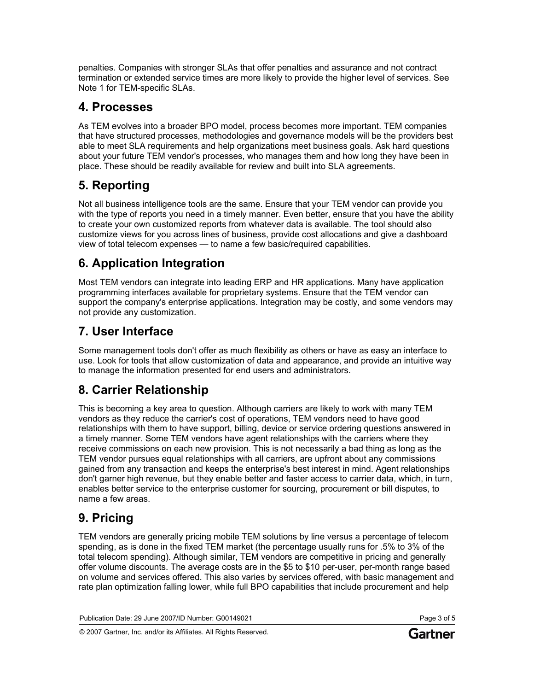penalties. Companies with stronger SLAs that offer penalties and assurance and not contract termination or extended service times are more likely to provide the higher level of services. See Note 1 for TEM-specific SLAs.

## **4. Processes**

As TEM evolves into a broader BPO model, process becomes more important. TEM companies that have structured processes, methodologies and governance models will be the providers best able to meet SLA requirements and help organizations meet business goals. Ask hard questions about your future TEM vendor's processes, who manages them and how long they have been in place. These should be readily available for review and built into SLA agreements.

# **5. Reporting**

Not all business intelligence tools are the same. Ensure that your TEM vendor can provide you with the type of reports you need in a timely manner. Even better, ensure that you have the ability to create your own customized reports from whatever data is available. The tool should also customize views for you across lines of business, provide cost allocations and give a dashboard view of total telecom expenses — to name a few basic/required capabilities.

# **6. Application Integration**

Most TEM vendors can integrate into leading ERP and HR applications. Many have application programming interfaces available for proprietary systems. Ensure that the TEM vendor can support the company's enterprise applications. Integration may be costly, and some vendors may not provide any customization.

# **7. User Interface**

Some management tools don't offer as much flexibility as others or have as easy an interface to use. Look for tools that allow customization of data and appearance, and provide an intuitive way to manage the information presented for end users and administrators.

# **8. Carrier Relationship**

This is becoming a key area to question. Although carriers are likely to work with many TEM vendors as they reduce the carrier's cost of operations, TEM vendors need to have good relationships with them to have support, billing, device or service ordering questions answered in a timely manner. Some TEM vendors have agent relationships with the carriers where they receive commissions on each new provision. This is not necessarily a bad thing as long as the TEM vendor pursues equal relationships with all carriers, are upfront about any commissions gained from any transaction and keeps the enterprise's best interest in mind. Agent relationships don't garner high revenue, but they enable better and faster access to carrier data, which, in turn, enables better service to the enterprise customer for sourcing, procurement or bill disputes, to name a few areas.

# **9. Pricing**

TEM vendors are generally pricing mobile TEM solutions by line versus a percentage of telecom spending, as is done in the fixed TEM market (the percentage usually runs for .5% to 3% of the total telecom spending). Although similar, TEM vendors are competitive in pricing and generally offer volume discounts. The average costs are in the \$5 to \$10 per-user, per-month range based on volume and services offered. This also varies by services offered, with basic management and rate plan optimization falling lower, while full BPO capabilities that include procurement and help

Publication Date: 29 June 2007/ID Number: G00149021 Page 3 of 5

© 2007 Gartner, Inc. and/or its Affiliates. All Rights Reserved.

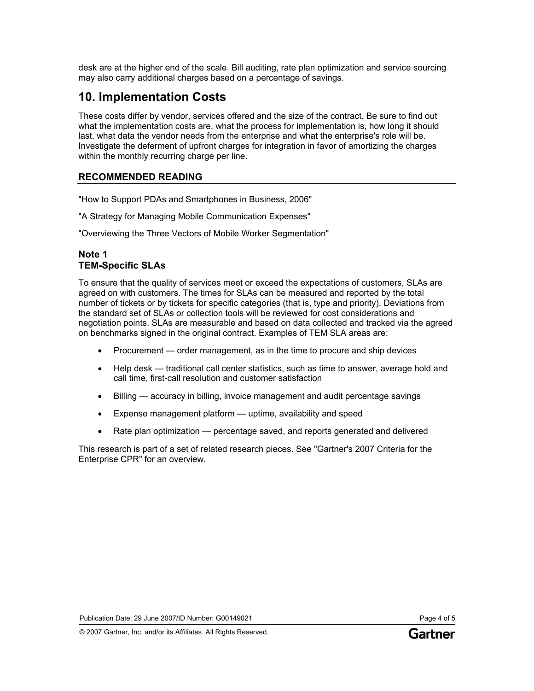desk are at the higher end of the scale. Bill auditing, rate plan optimization and service sourcing may also carry additional charges based on a percentage of savings.

## **10. Implementation Costs**

These costs differ by vendor, services offered and the size of the contract. Be sure to find out what the implementation costs are, what the process for implementation is, how long it should last, what data the vendor needs from the enterprise and what the enterprise's role will be. Investigate the deferment of upfront charges for integration in favor of amortizing the charges within the monthly recurring charge per line.

## **RECOMMENDED READING**

"How to Support PDAs and Smartphones in Business, 2006"

"A Strategy for Managing Mobile Communication Expenses"

"Overviewing the Three Vectors of Mobile Worker Segmentation"

### **Note 1 TEM-Specific SLAs**

To ensure that the quality of services meet or exceed the expectations of customers, SLAs are agreed on with customers. The times for SLAs can be measured and reported by the total number of tickets or by tickets for specific categories (that is, type and priority). Deviations from the standard set of SLAs or collection tools will be reviewed for cost considerations and negotiation points. SLAs are measurable and based on data collected and tracked via the agreed on benchmarks signed in the original contract. Examples of TEM SLA areas are:

- Procurement order management, as in the time to procure and ship devices
- Help desk traditional call center statistics, such as time to answer, average hold and call time, first-call resolution and customer satisfaction
- Billing accuracy in billing, invoice management and audit percentage savings
- Expense management platform uptime, availability and speed
- Rate plan optimization percentage saved, and reports generated and delivered

This research is part of a set of related research pieces. See "Gartner's 2007 Criteria for the Enterprise CPR" for an overview.